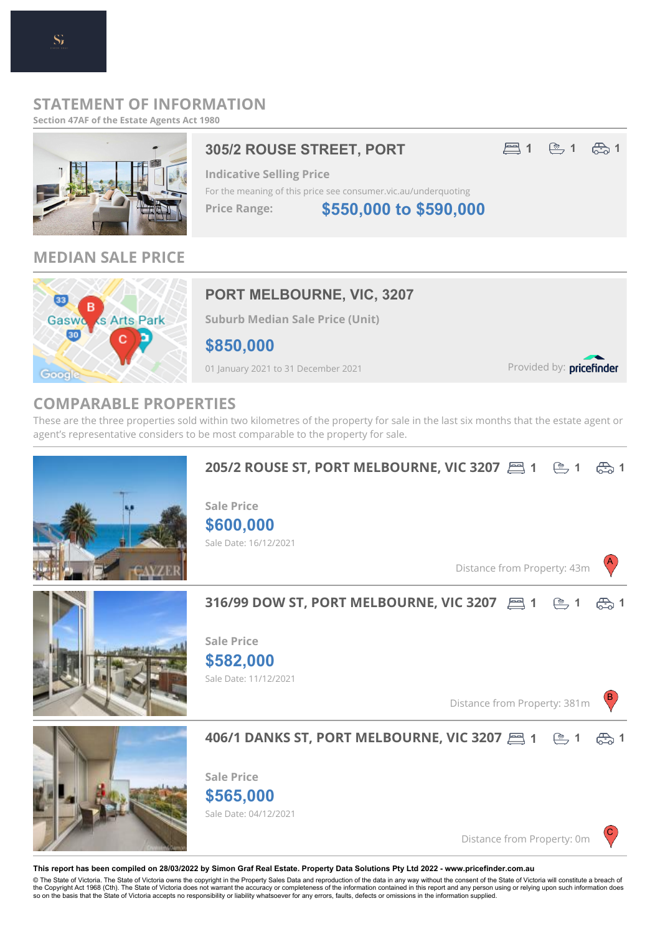### **STATEMENT OF INFORMATION**

**Section 47AF of the Estate Agents Act 1980**

# 305/2 ROUSE STREET, PORT 21 **图1** 81 岛1

**\$550,000 to \$590,000**

### **MEDIAN SALE PRICE**



# **PORT MELBOURNE, VIC, 3207**

**Suburb Median Sale Price (Unit)**

**\$850,000**

01 January 2021 to 31 December 2021

Provided by: pricefinder

A

B

C

### **COMPARABLE PROPERTIES**

These are the three properties sold within two kilometres of the property for sale in the last six months that the estate agent or agent's representative considers to be most comparable to the property for sale.



### **1 1 1 205/2 ROUSE ST, PORT MELBOURNE, VIC 3207**

Sale Date: 16/12/2021 **\$600,000 Sale Price**

Distance from Property: 43m



# **1 1 1 316/99 DOW ST, PORT MELBOURNE, VIC 3207**

Sale Date: 11/12/2021 **\$582,000 Sale Price**

Distance from Property: 381m



# **1 1 1 406/1 DANKS ST, PORT MELBOURNE, VIC 3207**

**\$565,000 Sale Price**

Sale Date: 04/12/2021

Distance from Property: 0m

#### **This report has been compiled on 28/03/2022 by Simon Graf Real Estate. Property Data Solutions Pty Ltd 2022 - www.pricefinder.com.au**

© The State of Victoria. The State of Victoria owns the copyright in the Property Sales Data and reproduction of the data in any way without the consent of the State of Victoria will constitute a breach of<br>the Copyright Ac so on the basis that the State of Victoria accepts no responsibility or liability whatsoever for any errors, faults, defects or omissions in the information supplied.